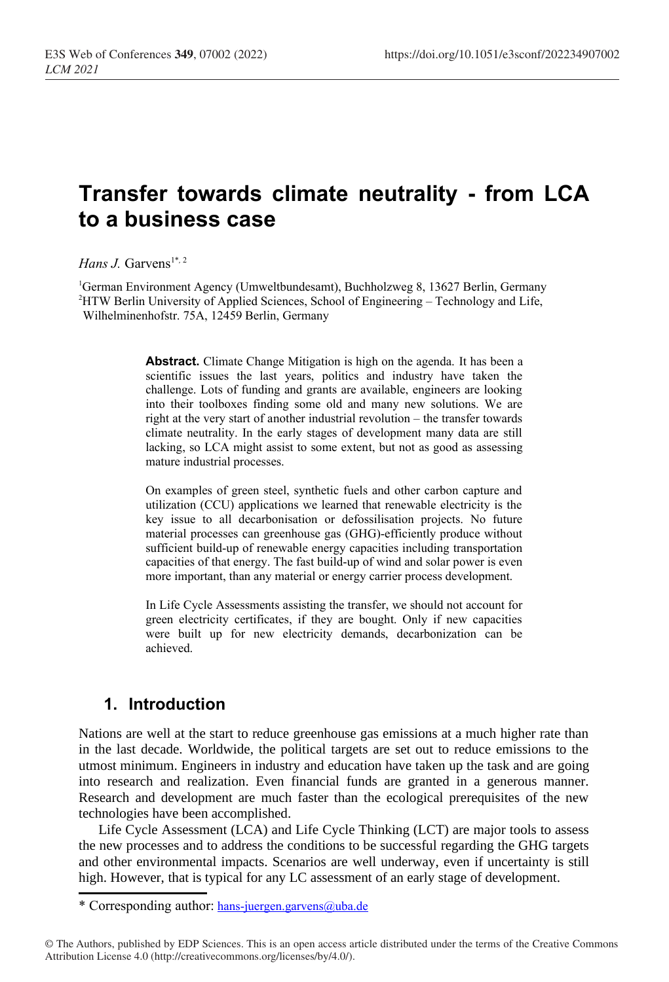# **Transfer towards climate neutrality - from LCA to a business case**

*Hans J. Garvens*<sup>[1\\*](#page-0-0), 2</sup>

<sup>1</sup>German Environment Agency (Umweltbundesamt), Buchholzweg 8, 13627 Berlin, Germany <sup>2</sup>HTW Berlin University of Applied Sciences, School of Engineering – Technology and Life, Wilhelminenhofstr. 75A, 12459 Berlin, Germany

> **Abstract.** Climate Change Mitigation is high on the agenda. It has been a scientific issues the last years, politics and industry have taken the challenge. Lots of funding and grants are available, engineers are looking into their toolboxes finding some old and many new solutions. We are right at the very start of another industrial revolution – the transfer towards climate neutrality. In the early stages of development many data are still lacking, so LCA might assist to some extent, but not as good as assessing mature industrial processes.

> On examples of green steel, synthetic fuels and other carbon capture and utilization (CCU) applications we learned that renewable electricity is the key issue to all decarbonisation or defossilisation projects. No future material processes can greenhouse gas (GHG)-efficiently produce without sufficient build-up of renewable energy capacities including transportation capacities of that energy. The fast build-up of wind and solar power is even more important, than any material or energy carrier process development.

> In Life Cycle Assessments assisting the transfer, we should not account for green electricity certificates, if they are bought. Only if new capacities were built up for new electricity demands, decarbonization can be achieved.

### **1. Introduction**

Nations are well at the start to reduce greenhouse gas emissions at a much higher rate than in the last decade. Worldwide, the political targets are set out to reduce emissions to the utmost minimum. Engineers in industry and education have taken up the task and are going into research and realization. Even financial funds are granted in a generous manner. Research and development are much faster than the ecological prerequisites of the new technologies have been accomplished.

Life Cycle Assessment (LCA) and Life Cycle Thinking (LCT) are major tools to assess the new processes and to address the conditions to be successful regarding the GHG targets and other environmental impacts. Scenarios are well underway, even if uncertainty is still high. However, that is typical for any LC assessment of an early stage of development.

<span id="page-0-0"></span><sup>\*</sup> Corresponding author: [hans-juergen.garvens@uba.de](mailto:hans-juergen.garvens@uba.de)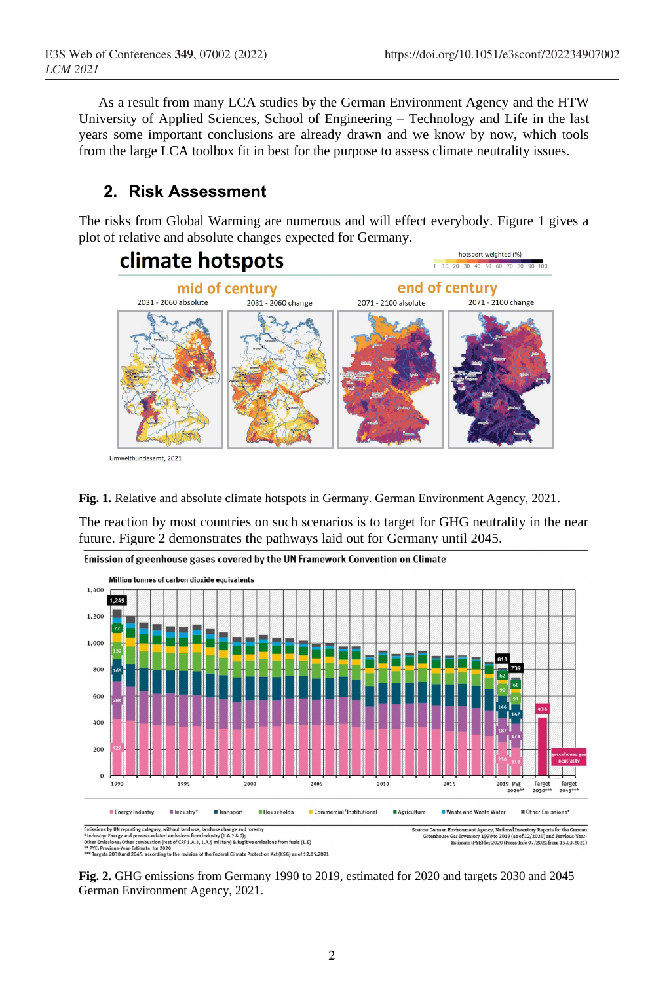As a result from many LCA studies by the German Environment Agency and the HTW University of Applied Sciences, School of Engineering – Technology and Life in the last years some important conclusions are already drawn and we know by now, which tools from the large LCA toolbox fit in best for the purpose to assess climate neutrality issues.

# **2. Risk Assessment**

The risks from Global Warming are numerous and will effect everybody. Figure 1 gives a plot of relative and absolute changes expected for Germany.



**Fig. 1.** Relative and absolute climate hotspots in Germany. German Environment Agency, 2021.

The reaction by most countries on such scenarios is to target for GHG neutrality in the near future. Figure 2 demonstrates the pathways laid out for Germany until 2045.



**Fig. 2.** GHG emissions from Germany 1990 to 2019, estimated for 2020 and targets 2030 and 2045 German Environment Agency, 2021.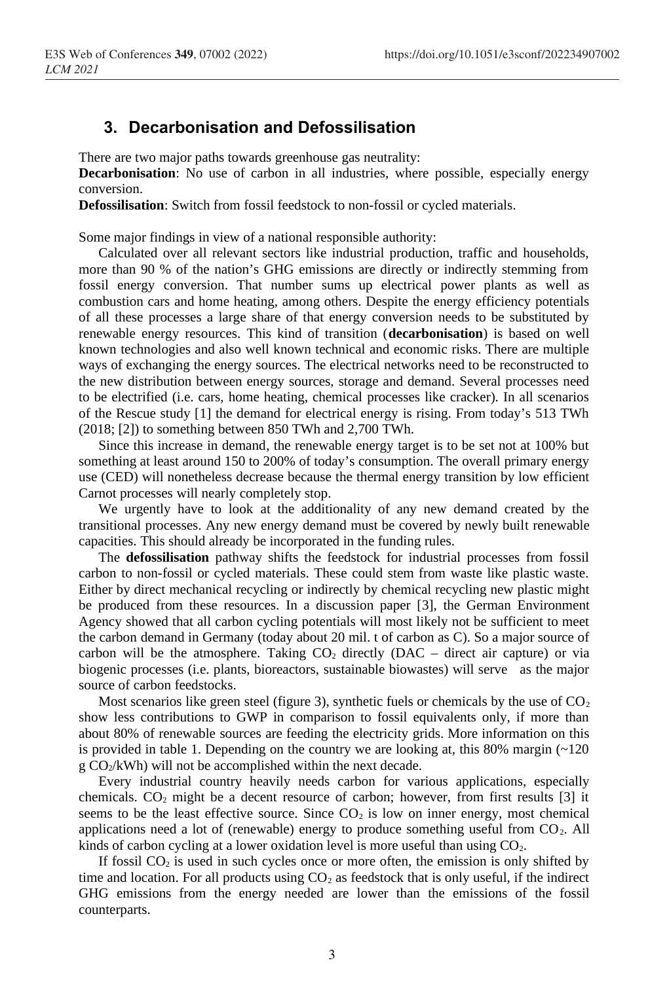## **3. Decarbonisation and Defossilisation**

There are two major paths towards greenhouse gas neutrality:

**Decarbonisation**: No use of carbon in all industries, where possible, especially energy conversion.

**Defossilisation**: Switch from fossil feedstock to non-fossil or cycled materials.

Some major findings in view of a national responsible authority:

Calculated over all relevant sectors like industrial production, traffic and households, more than 90 % of the nation's GHG emissions are directly or indirectly stemming from fossil energy conversion. That number sums up electrical power plants as well as combustion cars and home heating, among others. Despite the energy efficiency potentials of all these processes a large share of that energy conversion needs to be substituted by renewable energy resources. This kind of transition (**decarbonisation**) is based on well known technologies and also well known technical and economic risks. There are multiple ways of exchanging the energy sources. The electrical networks need to be reconstructed to the new distribution between energy sources, storage and demand. Several processes need to be electrified (i.e. cars, home heating, chemical processes like cracker). In all scenarios of the Rescue study [1] the demand for electrical energy is rising. From today's 513 TWh (2018; [2]) to something between 850 TWh and 2,700 TWh.

Since this increase in demand, the renewable energy target is to be set not at 100% but something at least around 150 to 200% of today's consumption. The overall primary energy use (CED) will nonetheless decrease because the thermal energy transition by low efficient Carnot processes will nearly completely stop.

We urgently have to look at the additionality of any new demand created by the transitional processes. Any new energy demand must be covered by newly built renewable capacities. This should already be incorporated in the funding rules.

The **defossilisation** pathway shifts the feedstock for industrial processes from fossil carbon to non-fossil or cycled materials. These could stem from waste like plastic waste. Either by direct mechanical recycling or indirectly by chemical recycling new plastic might be produced from these resources. In a discussion paper [3], the German Environment Agency showed that all carbon cycling potentials will most likely not be sufficient to meet the carbon demand in Germany (today about 20 mil. t of carbon as C). So a major source of carbon will be the atmosphere. Taking  $CO<sub>2</sub>$  directly (DAC – direct air capture) or via biogenic processes (i.e. plants, bioreactors, sustainable biowastes) will serve as the major source of carbon feedstocks.

Most scenarios like green steel (figure 3), synthetic fuels or chemicals by the use of  $CO<sub>2</sub>$ show less contributions to GWP in comparison to fossil equivalents only, if more than about 80% of renewable sources are feeding the electricity grids. More information on this is provided in table 1. Depending on the country we are looking at, this 80% margin  $(\sim 120$  $g \text{CO}_2/kWh$ ) will not be accomplished within the next decade.

Every industrial country heavily needs carbon for various applications, especially chemicals.  $CO<sub>2</sub>$  might be a decent resource of carbon; however, from first results [3] it seems to be the least effective source. Since  $CO<sub>2</sub>$  is low on inner energy, most chemical applications need a lot of (renewable) energy to produce something useful from  $CO<sub>2</sub>$ . All kinds of carbon cycling at a lower oxidation level is more useful than using  $CO<sub>2</sub>$ .

If fossil  $CO<sub>2</sub>$  is used in such cycles once or more often, the emission is only shifted by time and location. For all products using  $CO<sub>2</sub>$  as feedstock that is only useful, if the indirect GHG emissions from the energy needed are lower than the emissions of the fossil counterparts.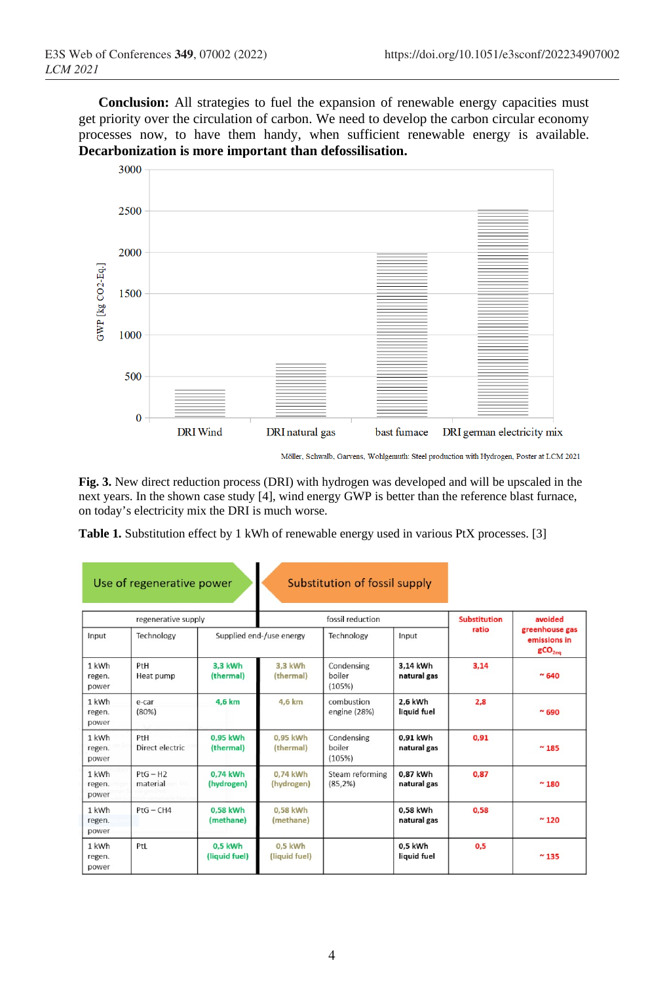**Conclusion:** All strategies to fuel the expansion of renewable energy capacities must get priority over the circulation of carbon. We need to develop the carbon circular economy processes now, to have them handy, when sufficient renewable energy is available. **Decarbonization is more important than defossilisation.**



Möller, Schwalb, Garvens, Wohlgemuth: Steel production with Hydrogen, Poster at LCM 2021

**Fig. 3.** New direct reduction process (DRI) with hydrogen was developed and will be upscaled in the next years. In the shown case study [4], wind energy GWP is better than the reference blast furnace, on today's electricity mix the DRI is much worse.

**Table 1.** Substitution effect by 1 kWh of renewable energy used in various PtX processes. [3]

|                          | Use of regenerative power |                          |                            | Substitution of fossil supply  |                         |                     |                                                      |
|--------------------------|---------------------------|--------------------------|----------------------------|--------------------------------|-------------------------|---------------------|------------------------------------------------------|
|                          | regenerative supply       |                          | fossil reduction           |                                |                         | <b>Substitution</b> | avoided                                              |
| Input                    | Technology                | Supplied end-/use energy |                            | Technology                     | Input                   | ratio               | greenhouse gas<br>emissions in<br>gCO <sub>2ea</sub> |
| 1 kWh<br>regen.<br>power | PtH<br>Heat pump          | 3,3 kWh<br>(thermal)     | 3,3 kWh<br>(thermal)       | Condensing<br>boiler<br>(105%) | 3,14 kWh<br>natural gas | 3,14                | ~0.640                                               |
| 1 kWh<br>regen.<br>power | e-car<br>(80%)            | 4,6 km                   | 4,6 km                     | combustion<br>engine (28%)     | 2,6 kWh<br>liquid fuel  | 2,8                 | ~0.690                                               |
| 1 kWh<br>regen.<br>power | PtH<br>Direct electric    | 0.95 kWh<br>(thermal)    | 0.95 kWh<br>(thermal)      | Condensing<br>boiler<br>(105%) | 0.91 kWh<br>natural gas | 0.91                | $~^{\sim}$ 185                                       |
| 1 kWh<br>regen.<br>power | $PtG - H2$<br>material    | 0,74 kWh<br>(hydrogen)   | 0.74 kWh<br>(hydrogen)     | Steam reforming<br>(85.2%)     | 0.87 kWh<br>natural gas | 0.87                | $~^{\sim}$ 180                                       |
| 1 kWh<br>regen.<br>power | $PtG - CH4$               | 0.58 kWh<br>(methane)    | 0.58 kWh<br>(methane)      |                                | 0.58 kWh<br>natural gas | 0.58                | ~120                                                 |
| 1 kWh<br>regen.<br>power | PtL                       | 0,5 kWh<br>(liquid fuel) | $0.5$ kWh<br>(liquid fuel) |                                | 0,5 kWh<br>liquid fuel  | 0,5                 | $~^{\sim}$ 135                                       |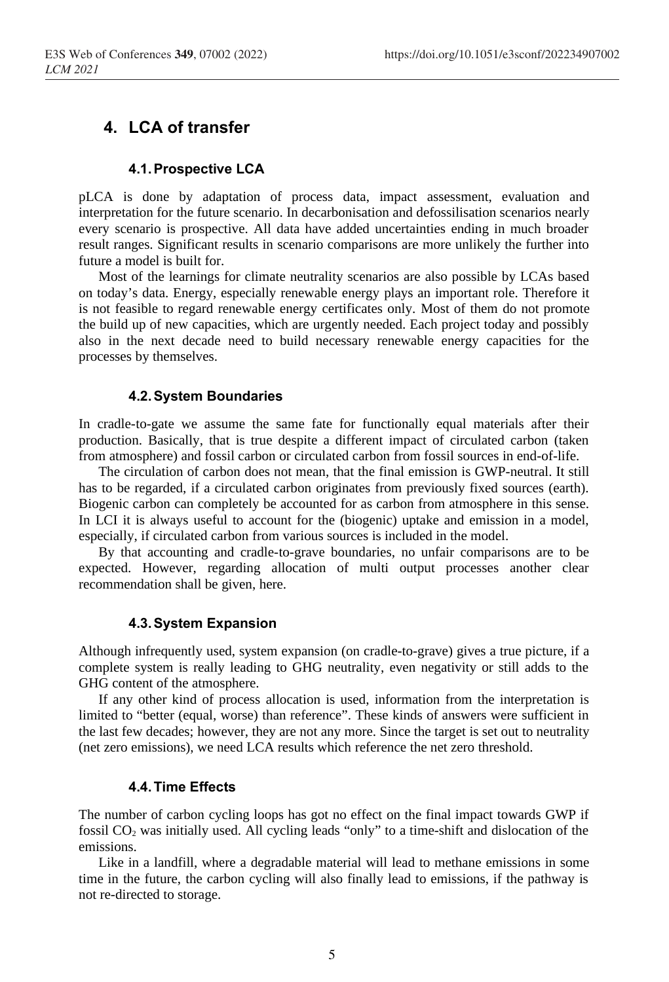# **4. LCA of transfer**

#### **4.1.Prospective LCA**

pLCA is done by adaptation of process data, impact assessment, evaluation and interpretation for the future scenario. In decarbonisation and defossilisation scenarios nearly every scenario is prospective. All data have added uncertainties ending in much broader result ranges. Significant results in scenario comparisons are more unlikely the further into future a model is built for.

Most of the learnings for climate neutrality scenarios are also possible by LCAs based on today's data. Energy, especially renewable energy plays an important role. Therefore it is not feasible to regard renewable energy certificates only. Most of them do not promote the build up of new capacities, which are urgently needed. Each project today and possibly also in the next decade need to build necessary renewable energy capacities for the processes by themselves.

#### **4.2.System Boundaries**

In cradle-to-gate we assume the same fate for functionally equal materials after their production. Basically, that is true despite a different impact of circulated carbon (taken from atmosphere) and fossil carbon or circulated carbon from fossil sources in end-of-life.

The circulation of carbon does not mean, that the final emission is GWP-neutral. It still has to be regarded, if a circulated carbon originates from previously fixed sources (earth). Biogenic carbon can completely be accounted for as carbon from atmosphere in this sense. In LCI it is always useful to account for the (biogenic) uptake and emission in a model, especially, if circulated carbon from various sources is included in the model.

By that accounting and cradle-to-grave boundaries, no unfair comparisons are to be expected. However, regarding allocation of multi output processes another clear recommendation shall be given, here.

#### **4.3.System Expansion**

Although infrequently used, system expansion (on cradle-to-grave) gives a true picture, if a complete system is really leading to GHG neutrality, even negativity or still adds to the GHG content of the atmosphere.

If any other kind of process allocation is used, information from the interpretation is limited to "better (equal, worse) than reference". These kinds of answers were sufficient in the last few decades; however, they are not any more. Since the target is set out to neutrality (net zero emissions), we need LCA results which reference the net zero threshold.

#### **4.4.Time Effects**

The number of carbon cycling loops has got no effect on the final impact towards GWP if fossil  $CO<sub>2</sub>$  was initially used. All cycling leads "only" to a time-shift and dislocation of the emissions.

Like in a landfill, where a degradable material will lead to methane emissions in some time in the future, the carbon cycling will also finally lead to emissions, if the pathway is not re-directed to storage.